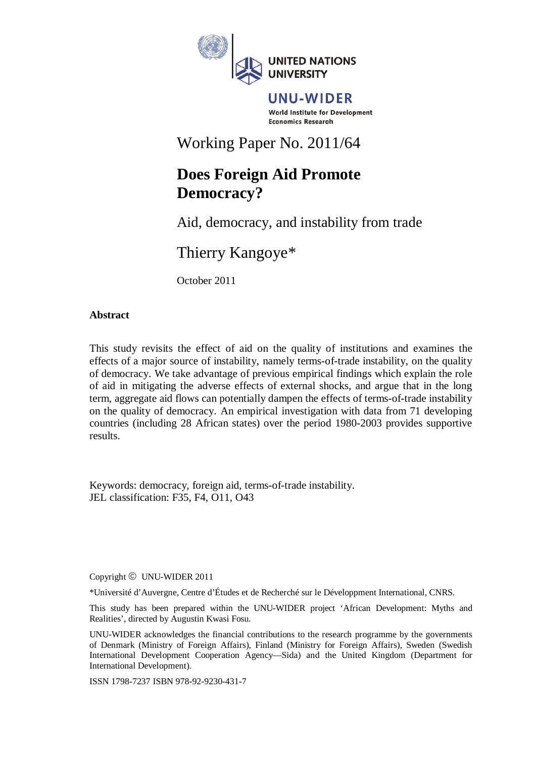

UNU-WIDER World Institute for Development **Economics Research** 

Working Paper No. 2011/64

# **Does Foreign Aid Promote Democracy?**

Aid, democracy, and instability from trade

Thierry Kangoye\*

October 2011

# **Abstract**

This study revisits the effect of aid on the quality of institutions and examines the effects of a major source of instability, namely terms-of-trade instability, on the quality of democracy. We take advantage of previous empirical findings which explain the role of aid in mitigating the adverse effects of external shocks, and argue that in the long term, aggregate aid flows can potentially dampen the effects of terms-of-trade instability on the quality of democracy. An empirical investigation with data from 71 developing countries (including 28 African states) over the period 1980-2003 provides supportive results.

Keywords: democracy, foreign aid, terms-of-trade instability. JEL classification: F35, F4, O11, O43

Copyright © UNU-WIDER 2011

\*Université d'Auvergne, Centre d'Études et de Recherché sur le Développment International, CNRS.

This study has been prepared within the UNU-WIDER project 'African Development: Myths and Realities', directed by Augustin Kwasi Fosu.

UNU-WIDER acknowledges the financial contributions to the research programme by the governments of Denmark (Ministry of Foreign Affairs), Finland (Ministry for Foreign Affairs), Sweden (Swedish International Development Cooperation Agency—Sida) and the United Kingdom (Department for International Development).

ISSN 1798-7237 ISBN 978-92-9230-431-7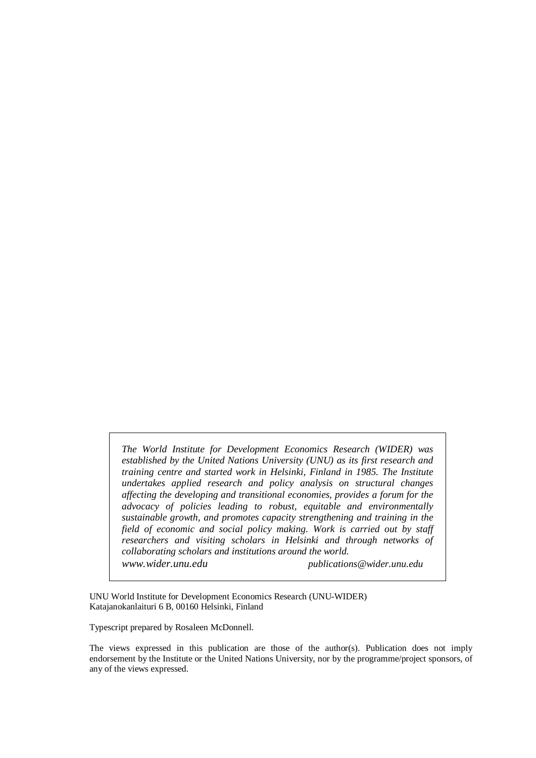*The World Institute for Development Economics Research (WIDER) was established by the United Nations University (UNU) as its first research and training centre and started work in Helsinki, Finland in 1985. The Institute undertakes applied research and policy analysis on structural changes affecting the developing and transitional economies, provides a forum for the advocacy of policies leading to robust, equitable and environmentally sustainable growth, and promotes capacity strengthening and training in the field of economic and social policy making. Work is carried out by staff researchers and visiting scholars in Helsinki and through networks of collaborating scholars and institutions around the world. www.wider.unu.edu publications@wider.unu.edu*

UNU World Institute for Development Economics Research (UNU-WIDER) Katajanokanlaituri 6 B, 00160 Helsinki, Finland

Typescript prepared by Rosaleen McDonnell.

The views expressed in this publication are those of the author(s). Publication does not imply endorsement by the Institute or the United Nations University, nor by the programme/project sponsors, of any of the views expressed.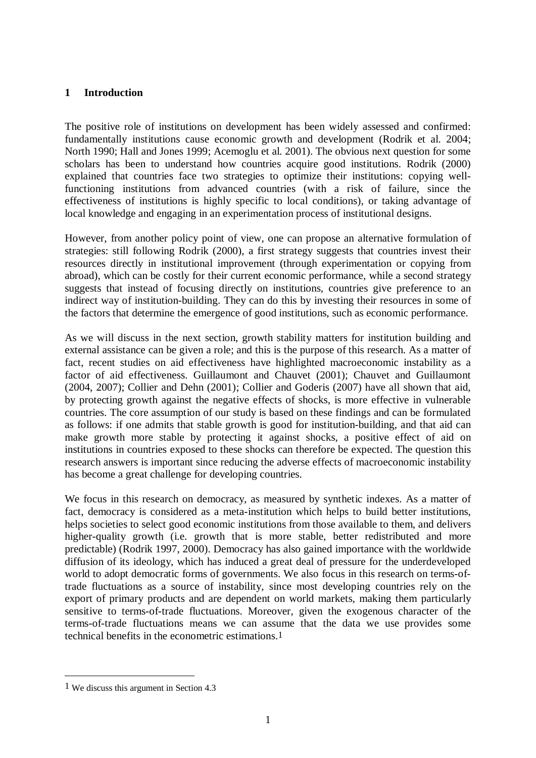## **1 Introduction**

The positive role of institutions on development has been widely assessed and confirmed: fundamentally institutions cause economic growth and development (Rodrik et al. 2004; North 1990; Hall and Jones 1999; Acemoglu et al. 2001). The obvious next question for some scholars has been to understand how countries acquire good institutions. Rodrik (2000) explained that countries face two strategies to optimize their institutions: copying wellfunctioning institutions from advanced countries (with a risk of failure, since the effectiveness of institutions is highly specific to local conditions), or taking advantage of local knowledge and engaging in an experimentation process of institutional designs.

However, from another policy point of view, one can propose an alternative formulation of strategies: still following Rodrik (2000), a first strategy suggests that countries invest their resources directly in institutional improvement (through experimentation or copying from abroad), which can be costly for their current economic performance, while a second strategy suggests that instead of focusing directly on institutions, countries give preference to an indirect way of institution-building. They can do this by investing their resources in some of the factors that determine the emergence of good institutions, such as economic performance.

As we will discuss in the next section, growth stability matters for institution building and external assistance can be given a role; and this is the purpose of this research. As a matter of fact, recent studies on aid effectiveness have highlighted macroeconomic instability as a factor of aid effectiveness. Guillaumont and Chauvet (2001); Chauvet and Guillaumont (2004, 2007); Collier and Dehn (2001); Collier and Goderis (2007) have all shown that aid, by protecting growth against the negative effects of shocks, is more effective in vulnerable countries. The core assumption of our study is based on these findings and can be formulated as follows: if one admits that stable growth is good for institution-building, and that aid can make growth more stable by protecting it against shocks, a positive effect of aid on institutions in countries exposed to these shocks can therefore be expected. The question this research answers is important since reducing the adverse effects of macroeconomic instability has become a great challenge for developing countries.

We focus in this research on democracy, as measured by synthetic indexes. As a matter of fact, democracy is considered as a meta-institution which helps to build better institutions, helps societies to select good economic institutions from those available to them, and delivers higher-quality growth (i.e. growth that is more stable, better redistributed and more predictable) (Rodrik 1997, 2000). Democracy has also gained importance with the worldwide diffusion of its ideology, which has induced a great deal of pressure for the underdeveloped world to adopt democratic forms of governments. We also focus in this research on terms-oftrade fluctuations as a source of instability, since most developing countries rely on the export of primary products and are dependent on world markets, making them particularly sensitive to terms-of-trade fluctuations. Moreover, given the exogenous character of the terms-of-trade fluctuations means we can assume that the data we use provides some technical benefits in the econometric estimations.1

<sup>1</sup> We discuss this argument in Section 4.3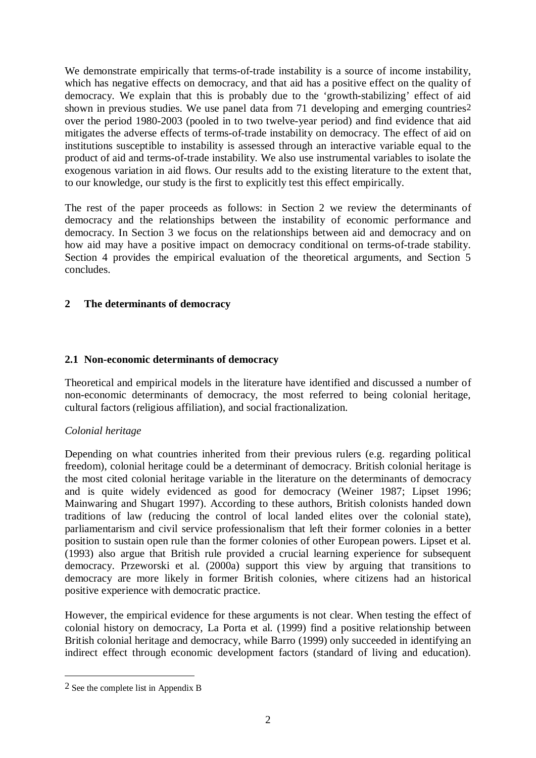We demonstrate empirically that terms-of-trade instability is a source of income instability, which has negative effects on democracy, and that aid has a positive effect on the quality of democracy. We explain that this is probably due to the 'growth-stabilizing' effect of aid shown in previous studies. We use panel data from 71 developing and emerging countries<sup>2</sup> over the period 1980-2003 (pooled in to two twelve-year period) and find evidence that aid mitigates the adverse effects of terms-of-trade instability on democracy. The effect of aid on institutions susceptible to instability is assessed through an interactive variable equal to the product of aid and terms-of-trade instability. We also use instrumental variables to isolate the exogenous variation in aid flows. Our results add to the existing literature to the extent that, to our knowledge, our study is the first to explicitly test this effect empirically.

The rest of the paper proceeds as follows: in Section 2 we review the determinants of democracy and the relationships between the instability of economic performance and democracy. In Section 3 we focus on the relationships between aid and democracy and on how aid may have a positive impact on democracy conditional on terms-of-trade stability. Section 4 provides the empirical evaluation of the theoretical arguments, and Section 5 concludes.

# **2 The determinants of democracy**

## **2.1 Non-economic determinants of democracy**

Theoretical and empirical models in the literature have identified and discussed a number of non-economic determinants of democracy, the most referred to being colonial heritage, cultural factors (religious affiliation), and social fractionalization.

# *Colonial heritage*

Depending on what countries inherited from their previous rulers (e.g. regarding political freedom), colonial heritage could be a determinant of democracy. British colonial heritage is the most cited colonial heritage variable in the literature on the determinants of democracy and is quite widely evidenced as good for democracy (Weiner 1987; Lipset 1996; Mainwaring and Shugart 1997). According to these authors, British colonists handed down traditions of law (reducing the control of local landed elites over the colonial state), parliamentarism and civil service professionalism that left their former colonies in a better position to sustain open rule than the former colonies of other European powers. Lipset et al. (1993) also argue that British rule provided a crucial learning experience for subsequent democracy. Przeworski et al. (2000a) support this view by arguing that transitions to democracy are more likely in former British colonies, where citizens had an historical positive experience with democratic practice.

However, the empirical evidence for these arguments is not clear. When testing the effect of colonial history on democracy, La Porta et al. (1999) find a positive relationship between British colonial heritage and democracy, while Barro (1999) only succeeded in identifying an indirect effect through economic development factors (standard of living and education).

<sup>2</sup> See the complete list in Appendix B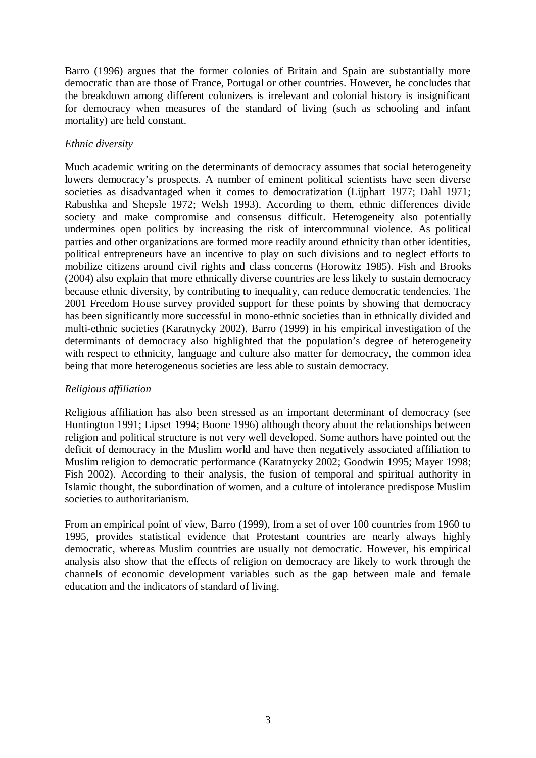Barro (1996) argues that the former colonies of Britain and Spain are substantially more democratic than are those of France, Portugal or other countries. However, he concludes that the breakdown among different colonizers is irrelevant and colonial history is insignificant for democracy when measures of the standard of living (such as schooling and infant mortality) are held constant.

# *Ethnic diversity*

Much academic writing on the determinants of democracy assumes that social heterogeneity lowers democracy's prospects. A number of eminent political scientists have seen diverse societies as disadvantaged when it comes to democratization (Lijphart 1977; Dahl 1971; Rabushka and Shepsle 1972; Welsh 1993). According to them, ethnic differences divide society and make compromise and consensus difficult. Heterogeneity also potentially undermines open politics by increasing the risk of intercommunal violence. As political parties and other organizations are formed more readily around ethnicity than other identities, political entrepreneurs have an incentive to play on such divisions and to neglect efforts to mobilize citizens around civil rights and class concerns (Horowitz 1985). Fish and Brooks (2004) also explain that more ethnically diverse countries are less likely to sustain democracy because ethnic diversity, by contributing to inequality, can reduce democratic tendencies. The 2001 Freedom House survey provided support for these points by showing that democracy has been significantly more successful in mono-ethnic societies than in ethnically divided and multi-ethnic societies (Karatnycky 2002). Barro (1999) in his empirical investigation of the determinants of democracy also highlighted that the population's degree of heterogeneity with respect to ethnicity, language and culture also matter for democracy, the common idea being that more heterogeneous societies are less able to sustain democracy.

# *Religious affiliation*

Religious affiliation has also been stressed as an important determinant of democracy (see Huntington 1991; Lipset 1994; Boone 1996) although theory about the relationships between religion and political structure is not very well developed. Some authors have pointed out the deficit of democracy in the Muslim world and have then negatively associated affiliation to Muslim religion to democratic performance (Karatnycky 2002; Goodwin 1995; Mayer 1998; Fish 2002). According to their analysis, the fusion of temporal and spiritual authority in Islamic thought, the subordination of women, and a culture of intolerance predispose Muslim societies to authoritarianism.

From an empirical point of view, Barro (1999), from a set of over 100 countries from 1960 to 1995, provides statistical evidence that Protestant countries are nearly always highly democratic, whereas Muslim countries are usually not democratic. However, his empirical analysis also show that the effects of religion on democracy are likely to work through the channels of economic development variables such as the gap between male and female education and the indicators of standard of living.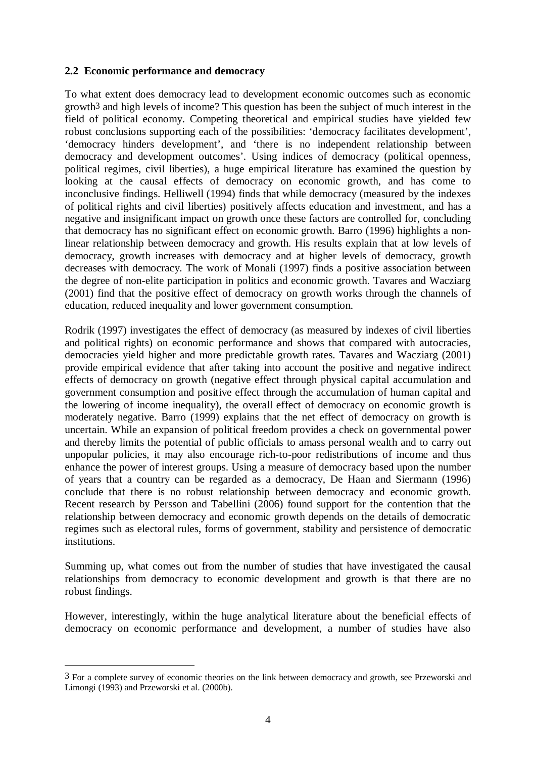## **2.2 Economic performance and democracy**

To what extent does democracy lead to development economic outcomes such as economic growth3 and high levels of income? This question has been the subject of much interest in the field of political economy. Competing theoretical and empirical studies have yielded few robust conclusions supporting each of the possibilities: 'democracy facilitates development', 'democracy hinders development', and 'there is no independent relationship between democracy and development outcomes'. Using indices of democracy (political openness, political regimes, civil liberties), a huge empirical literature has examined the question by looking at the causal effects of democracy on economic growth, and has come to inconclusive findings. Helliwell (1994) finds that while democracy (measured by the indexes of political rights and civil liberties) positively affects education and investment, and has a negative and insignificant impact on growth once these factors are controlled for, concluding that democracy has no significant effect on economic growth. Barro (1996) highlights a nonlinear relationship between democracy and growth. His results explain that at low levels of democracy, growth increases with democracy and at higher levels of democracy, growth decreases with democracy. The work of Monali (1997) finds a positive association between the degree of non-elite participation in politics and economic growth. Tavares and Wacziarg (2001) find that the positive effect of democracy on growth works through the channels of education, reduced inequality and lower government consumption.

Rodrik (1997) investigates the effect of democracy (as measured by indexes of civil liberties and political rights) on economic performance and shows that compared with autocracies, democracies yield higher and more predictable growth rates. Tavares and Wacziarg (2001) provide empirical evidence that after taking into account the positive and negative indirect effects of democracy on growth (negative effect through physical capital accumulation and government consumption and positive effect through the accumulation of human capital and the lowering of income inequality), the overall effect of democracy on economic growth is moderately negative. Barro (1999) explains that the net effect of democracy on growth is uncertain. While an expansion of political freedom provides a check on governmental power and thereby limits the potential of public officials to amass personal wealth and to carry out unpopular policies, it may also encourage rich-to-poor redistributions of income and thus enhance the power of interest groups. Using a measure of democracy based upon the number of years that a country can be regarded as a democracy, De Haan and Siermann (1996) conclude that there is no robust relationship between democracy and economic growth. Recent research by Persson and Tabellini (2006) found support for the contention that the relationship between democracy and economic growth depends on the details of democratic regimes such as electoral rules, forms of government, stability and persistence of democratic institutions.

Summing up, what comes out from the number of studies that have investigated the causal relationships from democracy to economic development and growth is that there are no robust findings.

However, interestingly, within the huge analytical literature about the beneficial effects of democracy on economic performance and development, a number of studies have also

<sup>&</sup>lt;sup>3</sup> For a complete survey of economic theories on the link between democracy and growth, see Przeworski and Limongi (1993) and Przeworski et al. (2000b).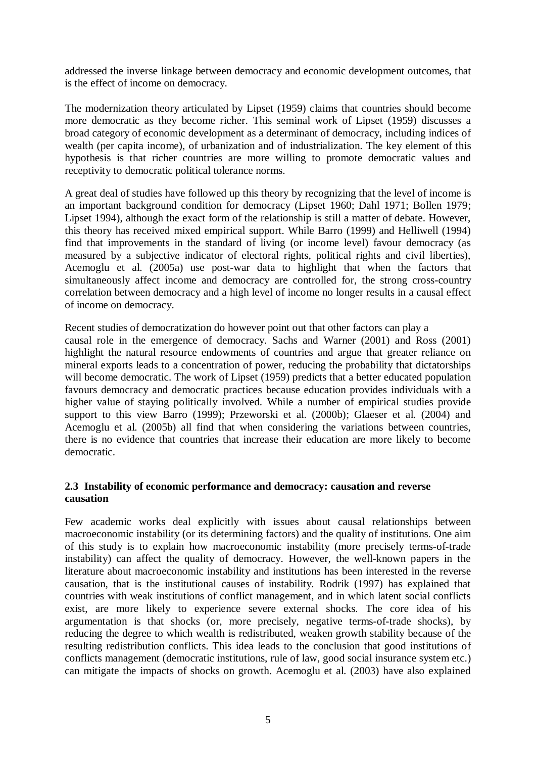addressed the inverse linkage between democracy and economic development outcomes, that is the effect of income on democracy.

The modernization theory articulated by Lipset (1959) claims that countries should become more democratic as they become richer. This seminal work of Lipset (1959) discusses a broad category of economic development as a determinant of democracy, including indices of wealth (per capita income), of urbanization and of industrialization. The key element of this hypothesis is that richer countries are more willing to promote democratic values and receptivity to democratic political tolerance norms.

A great deal of studies have followed up this theory by recognizing that the level of income is an important background condition for democracy (Lipset 1960; Dahl 1971; Bollen 1979; Lipset 1994), although the exact form of the relationship is still a matter of debate. However, this theory has received mixed empirical support. While Barro (1999) and Helliwell (1994) find that improvements in the standard of living (or income level) favour democracy (as measured by a subjective indicator of electoral rights, political rights and civil liberties), Acemoglu et al. (2005a) use post-war data to highlight that when the factors that simultaneously affect income and democracy are controlled for, the strong cross-country correlation between democracy and a high level of income no longer results in a causal effect of income on democracy.

Recent studies of democratization do however point out that other factors can play a

causal role in the emergence of democracy. Sachs and Warner (2001) and Ross (2001) highlight the natural resource endowments of countries and argue that greater reliance on mineral exports leads to a concentration of power, reducing the probability that dictatorships will become democratic. The work of Lipset (1959) predicts that a better educated population favours democracy and democratic practices because education provides individuals with a higher value of staying politically involved. While a number of empirical studies provide support to this view Barro (1999); Przeworski et al. (2000b); Glaeser et al. (2004) and Acemoglu et al. (2005b) all find that when considering the variations between countries, there is no evidence that countries that increase their education are more likely to become democratic.

# **2.3 Instability of economic performance and democracy: causation and reverse causation**

Few academic works deal explicitly with issues about causal relationships between macroeconomic instability (or its determining factors) and the quality of institutions. One aim of this study is to explain how macroeconomic instability (more precisely terms-of-trade instability) can affect the quality of democracy. However, the well-known papers in the literature about macroeconomic instability and institutions has been interested in the reverse causation, that is the institutional causes of instability. Rodrik (1997) has explained that countries with weak institutions of conflict management, and in which latent social conflicts exist, are more likely to experience severe external shocks. The core idea of his argumentation is that shocks (or, more precisely, negative terms-of-trade shocks), by reducing the degree to which wealth is redistributed, weaken growth stability because of the resulting redistribution conflicts. This idea leads to the conclusion that good institutions of conflicts management (democratic institutions, rule of law, good social insurance system etc.) can mitigate the impacts of shocks on growth. Acemoglu et al. (2003) have also explained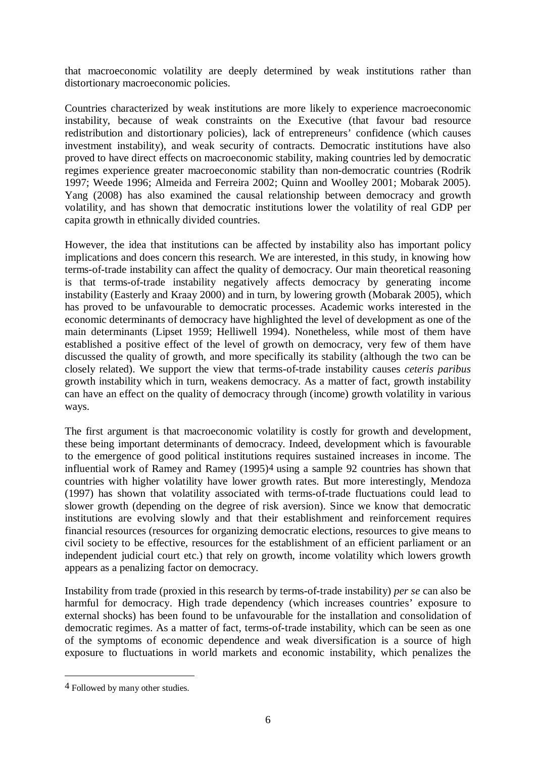that macroeconomic volatility are deeply determined by weak institutions rather than distortionary macroeconomic policies.

Countries characterized by weak institutions are more likely to experience macroeconomic instability, because of weak constraints on the Executive (that favour bad resource redistribution and distortionary policies), lack of entrepreneurs' confidence (which causes investment instability), and weak security of contracts. Democratic institutions have also proved to have direct effects on macroeconomic stability, making countries led by democratic regimes experience greater macroeconomic stability than non-democratic countries (Rodrik 1997; Weede 1996; Almeida and Ferreira 2002; Quinn and Woolley 2001; Mobarak 2005). Yang (2008) has also examined the causal relationship between democracy and growth volatility, and has shown that democratic institutions lower the volatility of real GDP per capita growth in ethnically divided countries.

However, the idea that institutions can be affected by instability also has important policy implications and does concern this research. We are interested, in this study, in knowing how terms-of-trade instability can affect the quality of democracy. Our main theoretical reasoning is that terms-of-trade instability negatively affects democracy by generating income instability (Easterly and Kraay 2000) and in turn, by lowering growth (Mobarak 2005), which has proved to be unfavourable to democratic processes. Academic works interested in the economic determinants of democracy have highlighted the level of development as one of the main determinants (Lipset 1959; Helliwell 1994). Nonetheless, while most of them have established a positive effect of the level of growth on democracy, very few of them have discussed the quality of growth, and more specifically its stability (although the two can be closely related). We support the view that terms-of-trade instability causes *ceteris paribus* growth instability which in turn, weakens democracy. As a matter of fact, growth instability can have an effect on the quality of democracy through (income) growth volatility in various ways.

The first argument is that macroeconomic volatility is costly for growth and development, these being important determinants of democracy. Indeed, development which is favourable to the emergence of good political institutions requires sustained increases in income. The influential work of Ramey and Ramey (1995)4 using a sample 92 countries has shown that countries with higher volatility have lower growth rates. But more interestingly, Mendoza (1997) has shown that volatility associated with terms-of-trade fluctuations could lead to slower growth (depending on the degree of risk aversion). Since we know that democratic institutions are evolving slowly and that their establishment and reinforcement requires financial resources (resources for organizing democratic elections, resources to give means to civil society to be effective, resources for the establishment of an efficient parliament or an independent judicial court etc.) that rely on growth, income volatility which lowers growth appears as a penalizing factor on democracy.

Instability from trade (proxied in this research by terms-of-trade instability) *per se* can also be harmful for democracy. High trade dependency (which increases countries' exposure to external shocks) has been found to be unfavourable for the installation and consolidation of democratic regimes. As a matter of fact, terms-of-trade instability, which can be seen as one of the symptoms of economic dependence and weak diversification is a source of high exposure to fluctuations in world markets and economic instability, which penalizes the

<sup>4</sup> Followed by many other studies.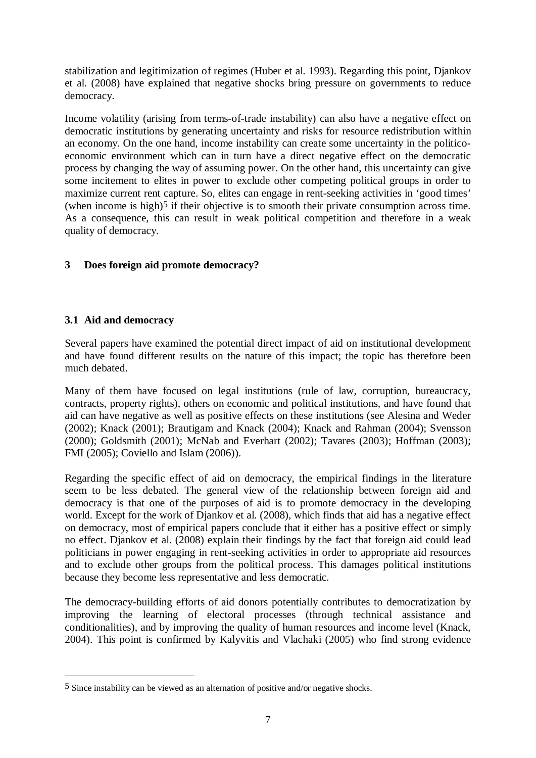stabilization and legitimization of regimes (Huber et al. 1993). Regarding this point, Djankov et al. (2008) have explained that negative shocks bring pressure on governments to reduce democracy.

Income volatility (arising from terms-of-trade instability) can also have a negative effect on democratic institutions by generating uncertainty and risks for resource redistribution within an economy. On the one hand, income instability can create some uncertainty in the politicoeconomic environment which can in turn have a direct negative effect on the democratic process by changing the way of assuming power. On the other hand, this uncertainty can give some incitement to elites in power to exclude other competing political groups in order to maximize current rent capture. So, elites can engage in rent-seeking activities in 'good times' (when income is high)5 if their objective is to smooth their private consumption across time. As a consequence, this can result in weak political competition and therefore in a weak quality of democracy.

# **3 Does foreign aid promote democracy?**

# **3.1 Aid and democracy**

1

Several papers have examined the potential direct impact of aid on institutional development and have found different results on the nature of this impact; the topic has therefore been much debated.

Many of them have focused on legal institutions (rule of law, corruption, bureaucracy, contracts, property rights), others on economic and political institutions, and have found that aid can have negative as well as positive effects on these institutions (see Alesina and Weder (2002); Knack (2001); Brautigam and Knack (2004); Knack and Rahman (2004); Svensson (2000); Goldsmith (2001); McNab and Everhart (2002); Tavares (2003); Hoffman (2003); FMI (2005); Coviello and Islam (2006)).

Regarding the specific effect of aid on democracy, the empirical findings in the literature seem to be less debated. The general view of the relationship between foreign aid and democracy is that one of the purposes of aid is to promote democracy in the developing world. Except for the work of Djankov et al. (2008), which finds that aid has a negative effect on democracy, most of empirical papers conclude that it either has a positive effect or simply no effect. Djankov et al. (2008) explain their findings by the fact that foreign aid could lead politicians in power engaging in rent-seeking activities in order to appropriate aid resources and to exclude other groups from the political process. This damages political institutions because they become less representative and less democratic.

The democracy-building efforts of aid donors potentially contributes to democratization by improving the learning of electoral processes (through technical assistance and conditionalities), and by improving the quality of human resources and income level (Knack, 2004). This point is confirmed by Kalyvitis and Vlachaki (2005) who find strong evidence

<sup>5</sup> Since instability can be viewed as an alternation of positive and/or negative shocks.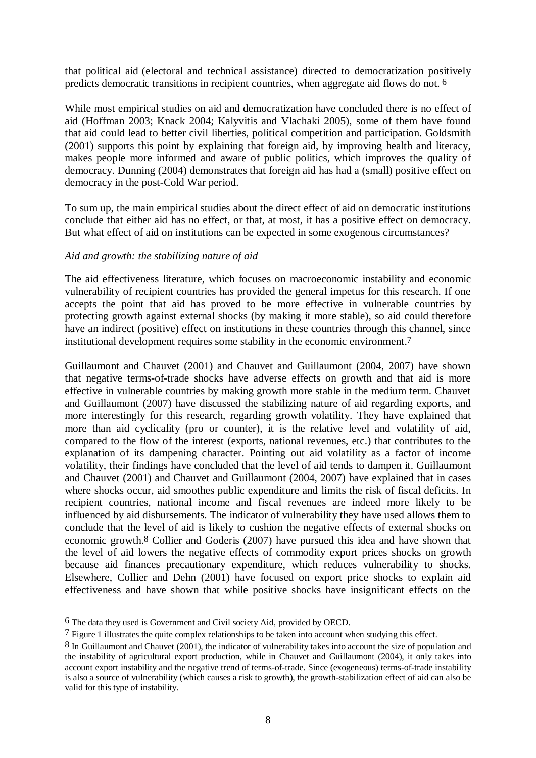that political aid (electoral and technical assistance) directed to democratization positively predicts democratic transitions in recipient countries, when aggregate aid flows do not. 6

While most empirical studies on aid and democratization have concluded there is no effect of aid (Hoffman 2003; Knack 2004; Kalyvitis and Vlachaki 2005), some of them have found that aid could lead to better civil liberties, political competition and participation. Goldsmith (2001) supports this point by explaining that foreign aid, by improving health and literacy, makes people more informed and aware of public politics, which improves the quality of democracy. Dunning (2004) demonstrates that foreign aid has had a (small) positive effect on democracy in the post-Cold War period.

To sum up, the main empirical studies about the direct effect of aid on democratic institutions conclude that either aid has no effect, or that, at most, it has a positive effect on democracy. But what effect of aid on institutions can be expected in some exogenous circumstances?

## *Aid and growth: the stabilizing nature of aid*

The aid effectiveness literature, which focuses on macroeconomic instability and economic vulnerability of recipient countries has provided the general impetus for this research. If one accepts the point that aid has proved to be more effective in vulnerable countries by protecting growth against external shocks (by making it more stable), so aid could therefore have an indirect (positive) effect on institutions in these countries through this channel, since institutional development requires some stability in the economic environment.7

Guillaumont and Chauvet (2001) and Chauvet and Guillaumont (2004, 2007) have shown that negative terms-of-trade shocks have adverse effects on growth and that aid is more effective in vulnerable countries by making growth more stable in the medium term. Chauvet and Guillaumont (2007) have discussed the stabilizing nature of aid regarding exports, and more interestingly for this research, regarding growth volatility. They have explained that more than aid cyclicality (pro or counter), it is the relative level and volatility of aid, compared to the flow of the interest (exports, national revenues, etc.) that contributes to the explanation of its dampening character. Pointing out aid volatility as a factor of income volatility, their findings have concluded that the level of aid tends to dampen it. Guillaumont and Chauvet (2001) and Chauvet and Guillaumont (2004, 2007) have explained that in cases where shocks occur, aid smoothes public expenditure and limits the risk of fiscal deficits. In recipient countries, national income and fiscal revenues are indeed more likely to be influenced by aid disbursements. The indicator of vulnerability they have used allows them to conclude that the level of aid is likely to cushion the negative effects of external shocks on economic growth.8 Collier and Goderis (2007) have pursued this idea and have shown that the level of aid lowers the negative effects of commodity export prices shocks on growth because aid finances precautionary expenditure, which reduces vulnerability to shocks. Elsewhere, Collier and Dehn (2001) have focused on export price shocks to explain aid effectiveness and have shown that while positive shocks have insignificant effects on the

<u>.</u>

<sup>6</sup> The data they used is Government and Civil society Aid, provided by OECD.

<sup>7</sup> Figure 1 illustrates the quite complex relationships to be taken into account when studying this effect.

<sup>8</sup> In Guillaumont and Chauvet (2001), the indicator of vulnerability takes into account the size of population and the instability of agricultural export production, while in Chauvet and Guillaumont (2004), it only takes into account export instability and the negative trend of terms-of-trade. Since (exogeneous) terms-of-trade instability is also a source of vulnerability (which causes a risk to growth), the growth-stabilization effect of aid can also be valid for this type of instability.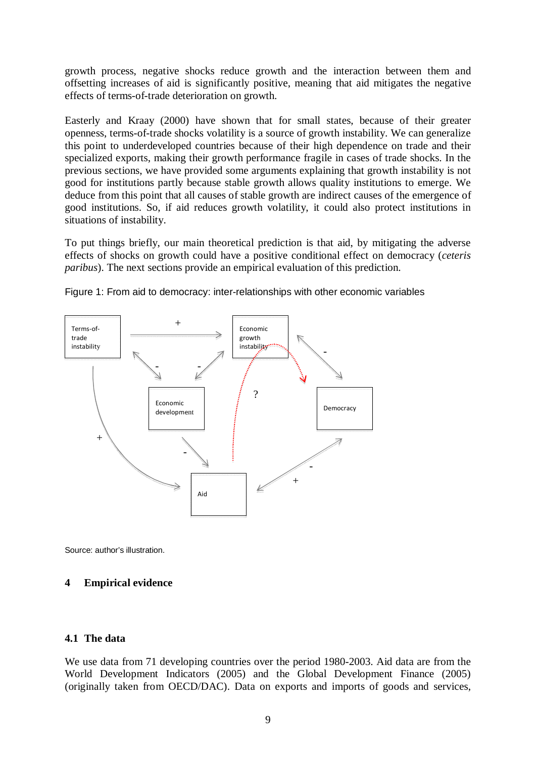growth process, negative shocks reduce growth and the interaction between them and offsetting increases of aid is significantly positive, meaning that aid mitigates the negative effects of terms-of-trade deterioration on growth.

Easterly and Kraay (2000) have shown that for small states, because of their greater openness, terms-of-trade shocks volatility is a source of growth instability. We can generalize this point to underdeveloped countries because of their high dependence on trade and their specialized exports, making their growth performance fragile in cases of trade shocks. In the previous sections, we have provided some arguments explaining that growth instability is not good for institutions partly because stable growth allows quality institutions to emerge. We deduce from this point that all causes of stable growth are indirect causes of the emergence of good institutions. So, if aid reduces growth volatility, it could also protect institutions in situations of instability.

To put things briefly, our main theoretical prediction is that aid, by mitigating the adverse effects of shocks on growth could have a positive conditional effect on democracy (*ceteris paribus*). The next sections provide an empirical evaluation of this prediction.



Figure 1: From aid to democracy: inter-relationships with other economic variables

Source: author's illustration.

#### **4 Empirical evidence**

## **4.1 The data**

We use data from 71 developing countries over the period 1980-2003. Aid data are from the World Development Indicators (2005) and the Global Development Finance (2005) (originally taken from OECD/DAC). Data on exports and imports of goods and services,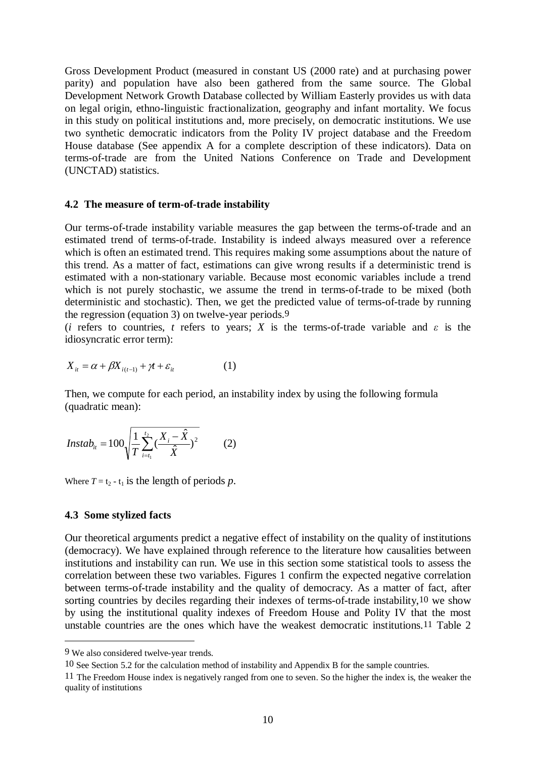Gross Development Product (measured in constant US (2000 rate) and at purchasing power parity) and population have also been gathered from the same source. The Global Development Network Growth Database collected by William Easterly provides us with data on legal origin, ethno-linguistic fractionalization, geography and infant mortality. We focus in this study on political institutions and, more precisely, on democratic institutions. We use two synthetic democratic indicators from the Polity IV project database and the Freedom House database (See appendix A for a complete description of these indicators). Data on terms-of-trade are from the United Nations Conference on Trade and Development (UNCTAD) statistics.

#### **4.2 The measure of term-of-trade instability**

Our terms-of-trade instability variable measures the gap between the terms-of-trade and an estimated trend of terms-of-trade. Instability is indeed always measured over a reference which is often an estimated trend. This requires making some assumptions about the nature of this trend. As a matter of fact, estimations can give wrong results if a deterministic trend is estimated with a non-stationary variable. Because most economic variables include a trend which is not purely stochastic, we assume the trend in terms-of-trade to be mixed (both deterministic and stochastic). Then, we get the predicted value of terms-of-trade by running the regression (equation 3) on twelve-year periods.9

(*i* refers to countries, *t* refers to years; *X* is the terms-of-trade variable and  $\varepsilon$  is the idiosyncratic error term):

$$
X_{it} = \alpha + \beta X_{i(t-1)} + \gamma t + \varepsilon_{it}
$$
 (1)

Then, we compute for each period, an instability index by using the following formula (quadratic mean):

$$
Instab_{it} = 100\sqrt{\frac{1}{T}\sum_{i=t_1}^{t_2}(\frac{X_i - \hat{X}}{\hat{X}})^2}
$$
 (2)

Where  $T = t_2 - t_1$  is the length of periods p.

#### **4.3 Some stylized facts**

Our theoretical arguments predict a negative effect of instability on the quality of institutions (democracy). We have explained through reference to the literature how causalities between institutions and instability can run. We use in this section some statistical tools to assess the correlation between these two variables. Figures 1 confirm the expected negative correlation between terms-of-trade instability and the quality of democracy. As a matter of fact, after sorting countries by deciles regarding their indexes of terms-of-trade instability,10 we show by using the institutional quality indexes of Freedom House and Polity IV that the most unstable countries are the ones which have the weakest democratic institutions.11 Table 2

<u>.</u>

<sup>9</sup> We also considered twelve-year trends.

<sup>10</sup> See Section 5.2 for the calculation method of instability and Appendix B for the sample countries.

<sup>11</sup> The Freedom House index is negatively ranged from one to seven. So the higher the index is, the weaker the quality of institutions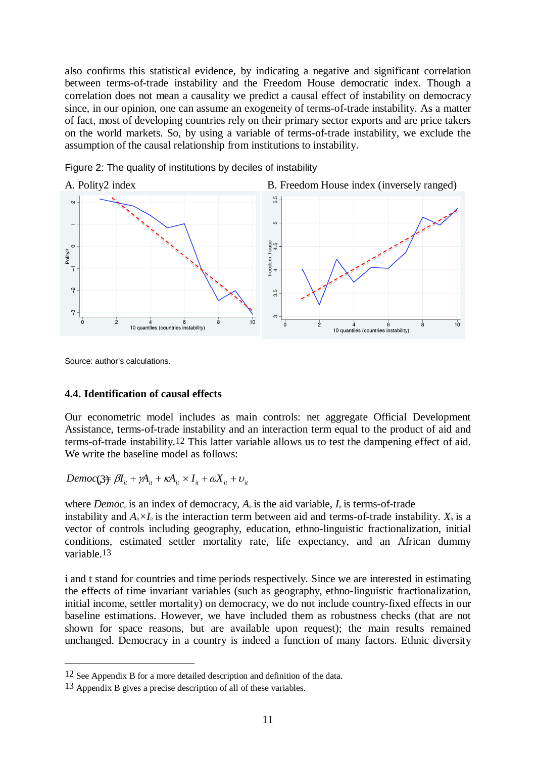also confirms this statistical evidence, by indicating a negative and significant correlation between terms-of-trade instability and the Freedom House democratic index. Though a correlation does not mean a causality we predict a causal effect of instability on democracy since, in our opinion, one can assume an exogeneity of terms-of-trade instability. As a matter of fact, most of developing countries rely on their primary sector exports and are price takers on the world markets. So, by using a variable of terms-of-trade instability, we exclude the assumption of the causal relationship from institutions to instability.



Figure 2: The quality of institutions by deciles of instability

Source: author's calculations.

<u>.</u>

#### **4.4. Identification of causal effects**

Our econometric model includes as main controls: net aggregate Official Development Assistance, terms-of-trade instability and an interaction term equal to the product of aid and terms-of-trade instability.12 This latter variable allows us to test the dampening effect of aid. We write the baseline model as follows:

 $Democ(\frac{3}{2}) = \beta I_{it} + \gamma A_{it} + \kappa A_{it} \times I_{it} + \omega X_{it} + \upsilon_{it}$ 

where *Democ<sub>it</sub>* is an index of democracy,  $A_i$  is the aid variable,  $I_i$  is terms-of-trade instability and  $A_i \times I_i$  is the interaction term between aid and terms-of-trade instability.  $X_i$  is a vector of controls including geography, education, ethno-linguistic fractionalization, initial conditions, estimated settler mortality rate, life expectancy, and an African dummy variable.13

i and t stand for countries and time periods respectively. Since we are interested in estimating the effects of time invariant variables (such as geography, ethno-linguistic fractionalization, initial income, settler mortality) on democracy, we do not include country-fixed effects in our baseline estimations. However, we have included them as robustness checks (that are not shown for space reasons, but are available upon request); the main results remained unchanged. Democracy in a country is indeed a function of many factors. Ethnic diversity

<sup>12</sup> See Appendix B for a more detailed description and definition of the data.

<sup>13</sup> Appendix B gives a precise description of all of these variables.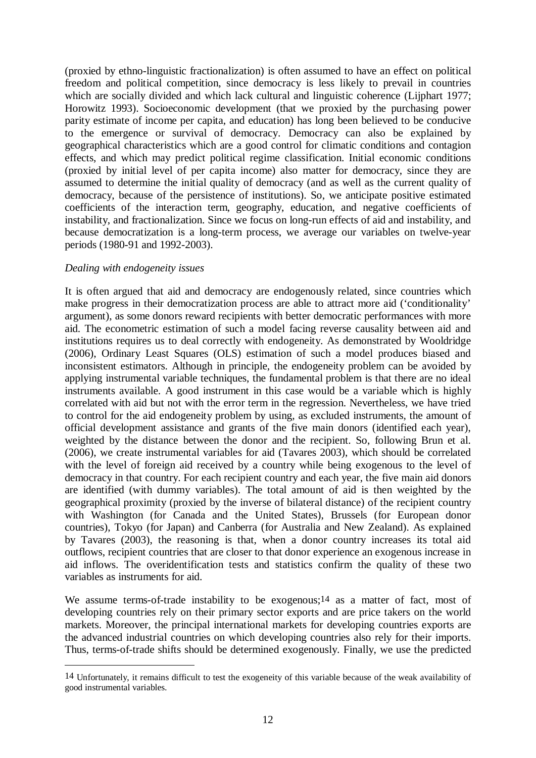(proxied by ethno-linguistic fractionalization) is often assumed to have an effect on political freedom and political competition, since democracy is less likely to prevail in countries which are socially divided and which lack cultural and linguistic coherence (Lijphart 1977; Horowitz 1993). Socioeconomic development (that we proxied by the purchasing power parity estimate of income per capita, and education) has long been believed to be conducive to the emergence or survival of democracy. Democracy can also be explained by geographical characteristics which are a good control for climatic conditions and contagion effects, and which may predict political regime classification. Initial economic conditions (proxied by initial level of per capita income) also matter for democracy, since they are assumed to determine the initial quality of democracy (and as well as the current quality of democracy, because of the persistence of institutions). So, we anticipate positive estimated coefficients of the interaction term, geography, education, and negative coefficients of instability, and fractionalization. Since we focus on long-run effects of aid and instability, and because democratization is a long-term process, we average our variables on twelve-year periods (1980-91 and 1992-2003).

## *Dealing with endogeneity issues*

1

It is often argued that aid and democracy are endogenously related, since countries which make progress in their democratization process are able to attract more aid ('conditionality' argument), as some donors reward recipients with better democratic performances with more aid. The econometric estimation of such a model facing reverse causality between aid and institutions requires us to deal correctly with endogeneity. As demonstrated by Wooldridge (2006), Ordinary Least Squares (OLS) estimation of such a model produces biased and inconsistent estimators. Although in principle, the endogeneity problem can be avoided by applying instrumental variable techniques, the fundamental problem is that there are no ideal instruments available. A good instrument in this case would be a variable which is highly correlated with aid but not with the error term in the regression. Nevertheless, we have tried to control for the aid endogeneity problem by using, as excluded instruments, the amount of official development assistance and grants of the five main donors (identified each year), weighted by the distance between the donor and the recipient. So, following Brun et al. (2006), we create instrumental variables for aid (Tavares 2003), which should be correlated with the level of foreign aid received by a country while being exogenous to the level of democracy in that country. For each recipient country and each year, the five main aid donors are identified (with dummy variables). The total amount of aid is then weighted by the geographical proximity (proxied by the inverse of bilateral distance) of the recipient country with Washington (for Canada and the United States), Brussels (for European donor countries), Tokyo (for Japan) and Canberra (for Australia and New Zealand). As explained by Tavares (2003), the reasoning is that, when a donor country increases its total aid outflows, recipient countries that are closer to that donor experience an exogenous increase in aid inflows. The overidentification tests and statistics confirm the quality of these two variables as instruments for aid.

We assume terms-of-trade instability to be exogenous;<sup>14</sup> as a matter of fact, most of developing countries rely on their primary sector exports and are price takers on the world markets. Moreover, the principal international markets for developing countries exports are the advanced industrial countries on which developing countries also rely for their imports. Thus, terms-of-trade shifts should be determined exogenously. Finally, we use the predicted

<sup>14</sup> Unfortunately, it remains difficult to test the exogeneity of this variable because of the weak availability of good instrumental variables.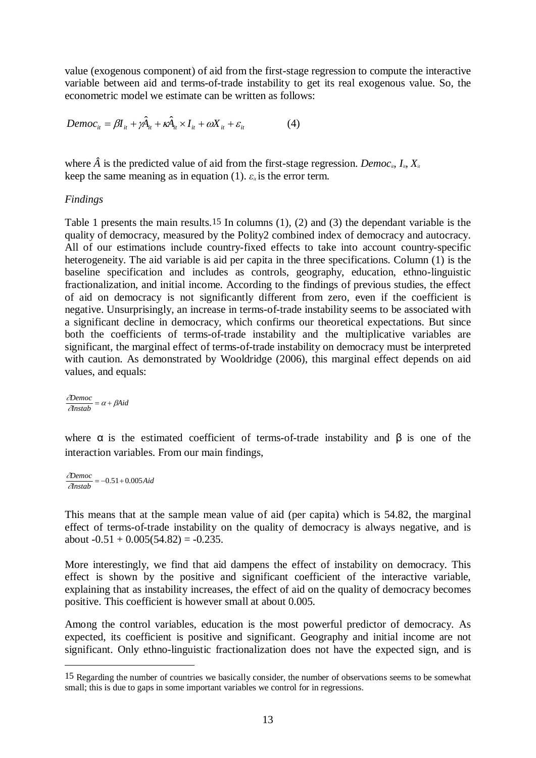value (exogenous component) of aid from the first-stage regression to compute the interactive variable between aid and terms-of-trade instability to get its real exogenous value. So, the econometric model we estimate can be written as follows:

$$
Democ_{it} = \beta I_{it} + \gamma \hat{A}_{it} + \kappa \hat{A}_{it} \times I_{it} + \omega X_{it} + \varepsilon_{it}
$$
(4)

where  $\hat{A}$  is the predicted value of aid from the first-stage regression. *Democ<sub>it</sub>*,  $I_i$ ,  $X_i$ keep the same meaning as in equation (1).  $\varepsilon_{ii}$  is the error term.

### *Findings*

Table 1 presents the main results.15 In columns (1), (2) and (3) the dependant variable is the quality of democracy, measured by the Polity2 combined index of democracy and autocracy. All of our estimations include country-fixed effects to take into account country-specific heterogeneity. The aid variable is aid per capita in the three specifications. Column (1) is the baseline specification and includes as controls, geography, education, ethno-linguistic fractionalization, and initial income. According to the findings of previous studies, the effect of aid on democracy is not significantly different from zero, even if the coefficient is negative. Unsurprisingly, an increase in terms-of-trade instability seems to be associated with a significant decline in democracy, which confirms our theoretical expectations. But since both the coefficients of terms-of-trade instability and the multiplicative variables are significant, the marginal effect of terms-of-trade instability on democracy must be interpreted with caution. As demonstrated by Wooldridge (2006), this marginal effect depends on aid values, and equals:

∂*Democ* <sup>∂</sup>*Instab* <sup>=</sup> <sup>α</sup> <sup>+</sup> <sup>β</sup>*Aid*  $\overline{a}$ 

where  $\alpha$  is the estimated coefficient of terms-of-trade instability and  $\beta$  is one of the interaction variables. From our main findings,

∂*Democ* <sup>∂</sup>*Instab* = −0.51<sup>+</sup> 0.005*Aid*

1

This means that at the sample mean value of aid (per capita) which is 54.82, the marginal effect of terms-of-trade instability on the quality of democracy is always negative, and is about  $-0.51 + 0.005(54.82) = -0.235$ .

More interestingly, we find that aid dampens the effect of instability on democracy. This effect is shown by the positive and significant coefficient of the interactive variable, explaining that as instability increases, the effect of aid on the quality of democracy becomes positive. This coefficient is however small at about 0.005.

Among the control variables, education is the most powerful predictor of democracy. As expected, its coefficient is positive and significant. Geography and initial income are not significant. Only ethno-linguistic fractionalization does not have the expected sign, and is

<sup>15</sup> Regarding the number of countries we basically consider, the number of observations seems to be somewhat small; this is due to gaps in some important variables we control for in regressions.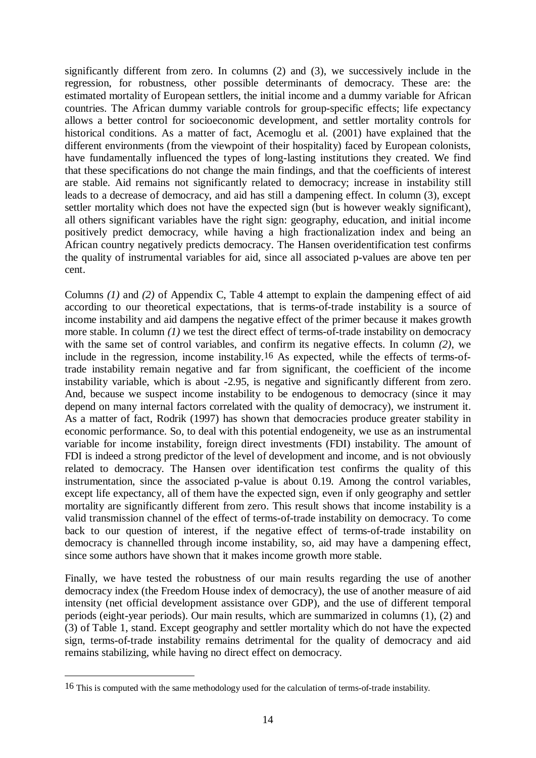significantly different from zero. In columns (2) and (3), we successively include in the regression, for robustness, other possible determinants of democracy. These are: the estimated mortality of European settlers, the initial income and a dummy variable for African countries. The African dummy variable controls for group-specific effects; life expectancy allows a better control for socioeconomic development, and settler mortality controls for historical conditions. As a matter of fact, Acemoglu et al. (2001) have explained that the different environments (from the viewpoint of their hospitality) faced by European colonists, have fundamentally influenced the types of long-lasting institutions they created. We find that these specifications do not change the main findings, and that the coefficients of interest are stable. Aid remains not significantly related to democracy; increase in instability still leads to a decrease of democracy, and aid has still a dampening effect. In column (3), except settler mortality which does not have the expected sign (but is however weakly significant), all others significant variables have the right sign: geography, education, and initial income positively predict democracy, while having a high fractionalization index and being an African country negatively predicts democracy. The Hansen overidentification test confirms the quality of instrumental variables for aid, since all associated p-values are above ten per cent.

Columns *(1)* and *(2)* of Appendix C, Table 4 attempt to explain the dampening effect of aid according to our theoretical expectations, that is terms-of-trade instability is a source of income instability and aid dampens the negative effect of the primer because it makes growth more stable. In column *(1)* we test the direct effect of terms-of-trade instability on democracy with the same set of control variables, and confirm its negative effects. In column *(2)*, we include in the regression, income instability.16 As expected, while the effects of terms-oftrade instability remain negative and far from significant, the coefficient of the income instability variable, which is about -2.95, is negative and significantly different from zero. And, because we suspect income instability to be endogenous to democracy (since it may depend on many internal factors correlated with the quality of democracy), we instrument it. As a matter of fact, Rodrik (1997) has shown that democracies produce greater stability in economic performance. So, to deal with this potential endogeneity, we use as an instrumental variable for income instability, foreign direct investments (FDI) instability. The amount of FDI is indeed a strong predictor of the level of development and income, and is not obviously related to democracy. The Hansen over identification test confirms the quality of this instrumentation, since the associated p-value is about 0.19. Among the control variables, except life expectancy, all of them have the expected sign, even if only geography and settler mortality are significantly different from zero. This result shows that income instability is a valid transmission channel of the effect of terms-of-trade instability on democracy. To come back to our question of interest, if the negative effect of terms-of-trade instability on democracy is channelled through income instability, so, aid may have a dampening effect, since some authors have shown that it makes income growth more stable.

Finally, we have tested the robustness of our main results regarding the use of another democracy index (the Freedom House index of democracy), the use of another measure of aid intensity (net official development assistance over GDP), and the use of different temporal periods (eight-year periods). Our main results, which are summarized in columns (1), (2) and (3) of Table 1, stand. Except geography and settler mortality which do not have the expected sign, terms-of-trade instability remains detrimental for the quality of democracy and aid remains stabilizing, while having no direct effect on democracy.

<sup>16</sup> This is computed with the same methodology used for the calculation of terms-of-trade instability.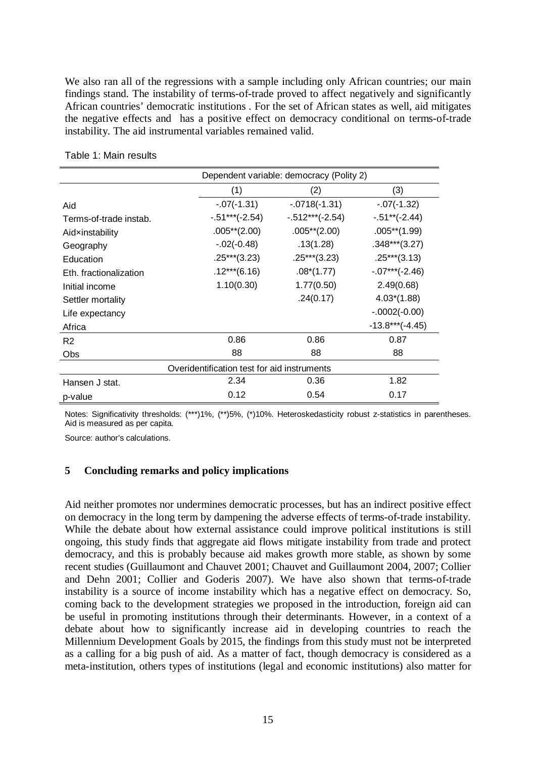We also ran all of the regressions with a sample including only African countries; our main findings stand. The instability of terms-of-trade proved to affect negatively and significantly African countries' democratic institutions . For the set of African states as well, aid mitigates the negative effects and has a positive effect on democracy conditional on terms-of-trade instability. The aid instrumental variables remained valid.

|                                             | Dependent variable: democracy (Polity 2) |                   |                   |  |  |  |
|---------------------------------------------|------------------------------------------|-------------------|-------------------|--|--|--|
|                                             | (1)                                      | (2)               | (3)               |  |  |  |
| Aid                                         | $-.07(-1.31)$                            | $-0718(-1.31)$    | $-.07(-1.32)$     |  |  |  |
| Terms-of-trade instab.                      | $-0.51***(-2.54)$                        | $-.512***(-2.54)$ | $-0.51**(-2.44)$  |  |  |  |
| Aidxinstability                             | $.005**$ (2.00)                          | $.005**$ (2.00)   | $.005**$ (1.99)   |  |  |  |
| Geography                                   | $-.02(-0.48)$                            | .13(1.28)         | $.348***$ (3.27)  |  |  |  |
| Education                                   | $.25***$ (3.23)                          | $.25***$ (3.23)   | $.25***(3.13)$    |  |  |  |
| Eth. fractionalization                      | $.12***$ (6.16)                          | $.08*(1.77)$      | $-07***(-2.46)$   |  |  |  |
| Initial income                              | 1.10(0.30)                               | 1.77(0.50)        | 2.49(0.68)        |  |  |  |
| Settler mortality                           |                                          | .24(0.17)         | $4.03*(1.88)$     |  |  |  |
| Life expectancy                             |                                          |                   | $-.0002(-0.00)$   |  |  |  |
| Africa                                      |                                          |                   | $-13.8***(-4.45)$ |  |  |  |
| R <sub>2</sub>                              | 0.86                                     | 0.86              | 0.87              |  |  |  |
| Obs                                         | 88                                       | 88                | 88                |  |  |  |
| Overidentification test for aid instruments |                                          |                   |                   |  |  |  |
| Hansen J stat.                              | 2.34                                     | 0.36              | 1.82              |  |  |  |
| p-value                                     | 0.12                                     | 0.54              | 0.17              |  |  |  |

Table 1: Main results

Notes: Significativity thresholds: (\*\*\*)1%, (\*\*)5%, (\*)10%. Heteroskedasticity robust z-statistics in parentheses. Aid is measured as per capita.

Source: author's calculations.

# **5 Concluding remarks and policy implications**

Aid neither promotes nor undermines democratic processes, but has an indirect positive effect on democracy in the long term by dampening the adverse effects of terms-of-trade instability. While the debate about how external assistance could improve political institutions is still ongoing, this study finds that aggregate aid flows mitigate instability from trade and protect democracy, and this is probably because aid makes growth more stable, as shown by some recent studies (Guillaumont and Chauvet 2001; Chauvet and Guillaumont 2004, 2007; Collier and Dehn 2001; Collier and Goderis 2007). We have also shown that terms-of-trade instability is a source of income instability which has a negative effect on democracy. So, coming back to the development strategies we proposed in the introduction, foreign aid can be useful in promoting institutions through their determinants. However, in a context of a debate about how to significantly increase aid in developing countries to reach the Millennium Development Goals by 2015, the findings from this study must not be interpreted as a calling for a big push of aid. As a matter of fact, though democracy is considered as a meta-institution, others types of institutions (legal and economic institutions) also matter for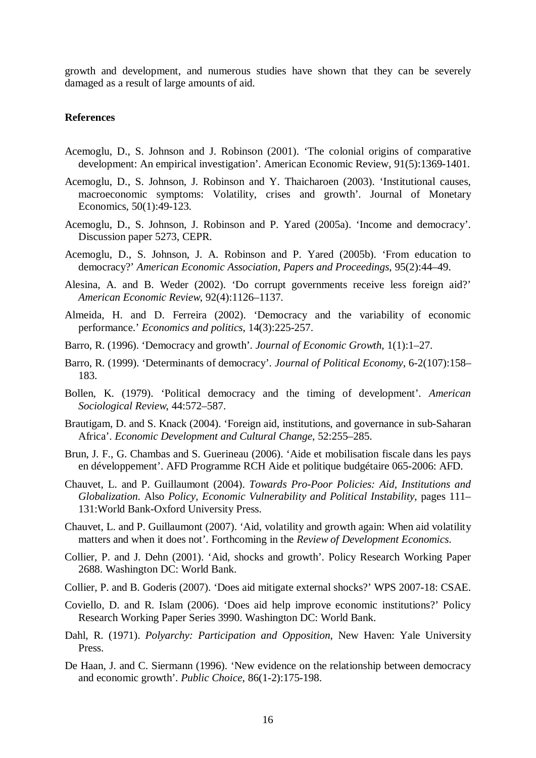growth and development, and numerous studies have shown that they can be severely damaged as a result of large amounts of aid.

#### **References**

- Acemoglu, D., S. Johnson and J. Robinson (2001). 'The colonial origins of comparative development: An empirical investigation'. American Economic Review, 91(5):1369-1401.
- Acemoglu, D., S. Johnson, J. Robinson and Y. Thaicharoen (2003). 'Institutional causes, macroeconomic symptoms: Volatility, crises and growth'. Journal of Monetary Economics, 50(1):49-123.
- Acemoglu, D., S. Johnson, J. Robinson and P. Yared (2005a). 'Income and democracy'. Discussion paper 5273, CEPR.
- Acemoglu, D., S. Johnson, J. A. Robinson and P. Yared (2005b). 'From education to democracy?' *American Economic Association, Papers and Proceedings*, 95(2):44–49.
- Alesina, A. and B. Weder (2002). 'Do corrupt governments receive less foreign aid?' *American Economic Review*, 92(4):1126–1137.
- Almeida, H. and D. Ferreira (2002). 'Democracy and the variability of economic performance.' *Economics and politics*, 14(3):225-257.
- Barro, R. (1996). 'Democracy and growth'. *Journal of Economic Growth*, 1(1):1–27.
- Barro, R. (1999). 'Determinants of democracy'. *Journal of Political Economy*, 6-2(107):158– 183.
- Bollen, K. (1979). 'Political democracy and the timing of development'. *American Sociological Review*, 44:572–587.
- Brautigam, D. and S. Knack (2004). 'Foreign aid, institutions, and governance in sub-Saharan Africa'. *Economic Development and Cultural Change*, 52:255–285.
- Brun, J. F., G. Chambas and S. Guerineau (2006). 'Aide et mobilisation fiscale dans les pays en développement'. AFD Programme RCH Aide et politique budgétaire 065-2006: AFD.
- Chauvet, L. and P. Guillaumont (2004). *Towards Pro-Poor Policies: Aid, Institutions and Globalization*. Also *Policy, Economic Vulnerability and Political Instability*, pages 111– 131:World Bank-Oxford University Press.
- Chauvet, L. and P. Guillaumont (2007). 'Aid, volatility and growth again: When aid volatility matters and when it does not'. Forthcoming in the *Review of Development Economics*.
- Collier, P. and J. Dehn (2001). 'Aid, shocks and growth'. Policy Research Working Paper 2688. Washington DC: World Bank.
- Collier, P. and B. Goderis (2007). 'Does aid mitigate external shocks?' WPS 2007-18: CSAE.
- Coviello, D. and R. Islam (2006). 'Does aid help improve economic institutions?' Policy Research Working Paper Series 3990. Washington DC: World Bank.
- Dahl, R. (1971). *Polyarchy: Participation and Opposition*, New Haven: Yale University Press.
- De Haan, J. and C. Siermann (1996). 'New evidence on the relationship between democracy and economic growth'. *Public Choice*, 86(1-2):175-198.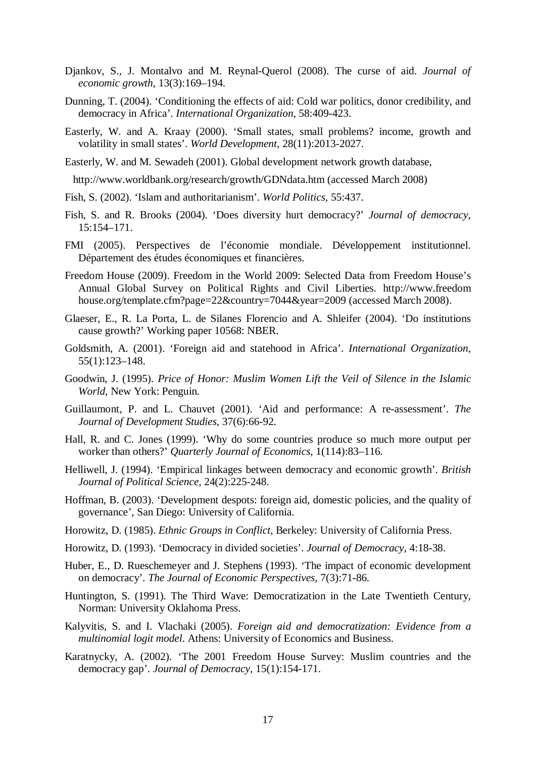- Djankov, S., J. Montalvo and M. Reynal-Querol (2008). The curse of aid. *Journal of economic growth*, 13(3):169–194.
- Dunning, T. (2004). 'Conditioning the effects of aid: Cold war politics, donor credibility, and democracy in Africa'. *International Organization*, 58:409-423.
- Easterly, W. and A. Kraay (2000). 'Small states, small problems? income, growth and volatility in small states'. *World Development*, 28(11):2013-2027.
- Easterly, W. and M. Sewadeh (2001). Global development network growth database,

http://www.worldbank.org/research/growth/GDNdata.htm (accessed March 2008)

- Fish, S. (2002). 'Islam and authoritarianism'. *World Politics*, 55:437.
- Fish, S. and R. Brooks (2004). 'Does diversity hurt democracy?' *Journal of democracy*, 15:154–171.
- FMI (2005). Perspectives de l'économie mondiale. Développement institutionnel. Département des études économiques et financières.
- Freedom House (2009). Freedom in the World 2009: Selected Data from Freedom House's Annual Global Survey on Political Rights and Civil Liberties. http://www.freedom house.org/template.cfm?page=22&country=7044&year=2009 (accessed March 2008).
- Glaeser, E., R. La Porta, L. de Silanes Florencio and A. Shleifer (2004). 'Do institutions cause growth?' Working paper 10568: NBER.
- Goldsmith, A. (2001). 'Foreign aid and statehood in Africa'. *International Organization*, 55(1):123–148.
- Goodwin, J. (1995). *Price of Honor: Muslim Women Lift the Veil of Silence in the Islamic World*, New York: Penguin.
- Guillaumont, P. and L. Chauvet (2001). 'Aid and performance: A re-assessment'. *The Journal of Development Studies*, 37(6):66-92.
- Hall, R. and C. Jones (1999). 'Why do some countries produce so much more output per worker than others?' *Quarterly Journal of Economics*, 1(114):83–116.
- Helliwell, J. (1994). 'Empirical linkages between democracy and economic growth'. *British Journal of Political Science*, 24(2):225-248.
- Hoffman, B. (2003). 'Development despots: foreign aid, domestic policies, and the quality of governance', San Diego: University of California.
- Horowitz, D. (1985). *Ethnic Groups in Conflict*, Berkeley: University of California Press.
- Horowitz, D. (1993). 'Democracy in divided societies'. *Journal of Democracy*, 4:18-38.
- Huber, E., D. Rueschemeyer and J. Stephens (1993). 'The impact of economic development on democracy'. *The Journal of Economic Perspectives*, 7(3):71-86.
- Huntington, S. (1991). The Third Wave: Democratization in the Late Twentieth Century, Norman: University Oklahoma Press.
- Kalyvitis, S. and I. Vlachaki (2005). *Foreign aid and democratization: Evidence from a multinomial logit model*. Athens: University of Economics and Business.
- Karatnycky, A. (2002). 'The 2001 Freedom House Survey: Muslim countries and the democracy gap'. *Journal of Democracy*, 15(1):154-171.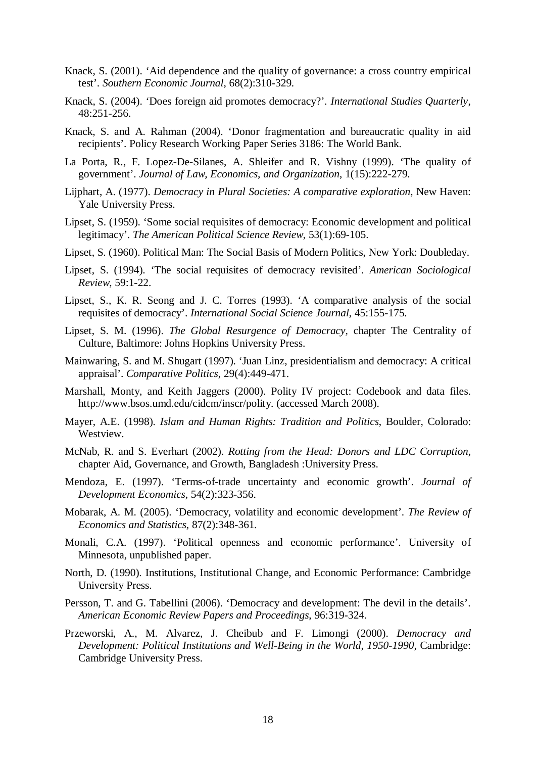- Knack, S. (2001). 'Aid dependence and the quality of governance: a cross country empirical test'. *Southern Economic Journal*, 68(2):310-329.
- Knack, S. (2004). 'Does foreign aid promotes democracy?'. *International Studies Quarterly*, 48:251-256.
- Knack, S. and A. Rahman (2004). 'Donor fragmentation and bureaucratic quality in aid recipients'. Policy Research Working Paper Series 3186: The World Bank.
- La Porta, R., F. Lopez-De-Silanes, A. Shleifer and R. Vishny (1999). 'The quality of government'. *Journal of Law, Economics, and Organization*, 1(15):222-279.
- Lijphart, A. (1977). *Democracy in Plural Societies: A comparative exploration*, New Haven: Yale University Press.
- Lipset, S. (1959). 'Some social requisites of democracy: Economic development and political legitimacy'. *The American Political Science Review*, 53(1):69-105.
- Lipset, S. (1960). Political Man: The Social Basis of Modern Politics, New York: Doubleday.
- Lipset, S. (1994). 'The social requisites of democracy revisited'. *American Sociological Review*, 59:1-22.
- Lipset, S., K. R. Seong and J. C. Torres (1993). 'A comparative analysis of the social requisites of democracy'. *International Social Science Journal*, 45:155-175.
- Lipset, S. M. (1996). *The Global Resurgence of Democracy*, chapter The Centrality of Culture, Baltimore: Johns Hopkins University Press.
- Mainwaring, S. and M. Shugart (1997). 'Juan Linz, presidentialism and democracy: A critical appraisal'. *Comparative Politics*, 29(4):449-471.
- Marshall, Monty, and Keith Jaggers (2000). Polity IV project: Codebook and data files. http://www.bsos.umd.edu/cidcm/inscr/polity. (accessed March 2008).
- Mayer, A.E. (1998). *Islam and Human Rights: Tradition and Politics*, Boulder, Colorado: Westview.
- McNab, R. and S. Everhart (2002). *Rotting from the Head: Donors and LDC Corruption*, chapter Aid, Governance, and Growth, Bangladesh :University Press.
- Mendoza, E. (1997). 'Terms-of-trade uncertainty and economic growth'. *Journal of Development Economics*, 54(2):323-356.
- Mobarak, A. M. (2005). 'Democracy, volatility and economic development'. *The Review of Economics and Statistics*, 87(2):348-361.
- Monali, C.A. (1997). 'Political openness and economic performance'. University of Minnesota, unpublished paper.
- North, D. (1990). Institutions, Institutional Change, and Economic Performance: Cambridge University Press.
- Persson, T. and G. Tabellini (2006). 'Democracy and development: The devil in the details'. *American Economic Review Papers and Proceedings*, 96:319-324.
- Przeworski, A., M. Alvarez, J. Cheibub and F. Limongi (2000). *Democracy and Development: Political Institutions and Well-Being in the World, 1950-1990,* Cambridge: Cambridge University Press.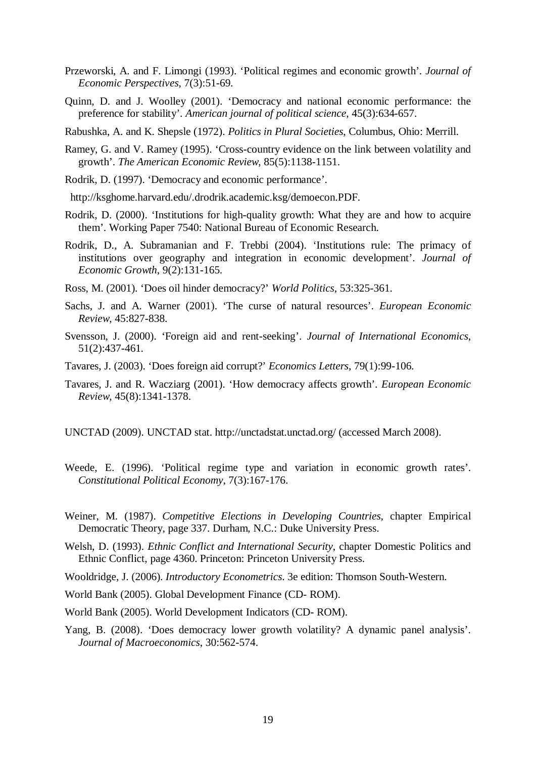- Przeworski, A. and F. Limongi (1993). 'Political regimes and economic growth'. *Journal of Economic Perspectives*, 7(3):51-69.
- Quinn, D. and J. Woolley (2001). 'Democracy and national economic performance: the preference for stability'. *American journal of political science*, 45(3):634-657.
- Rabushka, A. and K. Shepsle (1972). *Politics in Plural Societies*, Columbus, Ohio: Merrill.
- Ramey, G. and V. Ramey (1995). 'Cross-country evidence on the link between volatility and growth'. *The American Economic Review*, 85(5):1138-1151.
- Rodrik, D. (1997). 'Democracy and economic performance'.
- http://ksghome.harvard.edu/.drodrik.academic.ksg/demoecon.PDF.
- Rodrik, D. (2000). 'Institutions for high-quality growth: What they are and how to acquire them'. Working Paper 7540: National Bureau of Economic Research.
- Rodrik, D., A. Subramanian and F. Trebbi (2004). 'Institutions rule: The primacy of institutions over geography and integration in economic development'. *Journal of Economic Growth*, 9(2):131-165.
- Ross, M. (2001). 'Does oil hinder democracy?' *World Politics*, 53:325-361.
- Sachs, J. and A. Warner (2001). 'The curse of natural resources'. *European Economic Review*, 45:827-838.
- Svensson, J. (2000). 'Foreign aid and rent-seeking'. *Journal of International Economics*, 51(2):437-461.
- Tavares, J. (2003). 'Does foreign aid corrupt?' *Economics Letters*, 79(1):99-106.
- Tavares, J. and R. Wacziarg (2001). 'How democracy affects growth'. *European Economic Review*, 45(8):1341-1378.
- UNCTAD (2009). UNCTAD stat. http://unctadstat.unctad.org/ (accessed March 2008).
- Weede, E. (1996). 'Political regime type and variation in economic growth rates'. *Constitutional Political Economy*, 7(3):167-176.
- Weiner, M. (1987). *Competitive Elections in Developing Countries*, chapter Empirical Democratic Theory, page 337. Durham, N.C.: Duke University Press.
- Welsh, D. (1993). *Ethnic Conflict and International Security*, chapter Domestic Politics and Ethnic Conflict, page 4360. Princeton: Princeton University Press.
- Wooldridge, J. (2006). *Introductory Econometrics*. 3e edition: Thomson South-Western.
- World Bank (2005). Global Development Finance (CD- ROM).
- World Bank (2005). World Development Indicators (CD- ROM).
- Yang, B. (2008). 'Does democracy lower growth volatility? A dynamic panel analysis'. *Journal of Macroeconomics*, 30:562-574.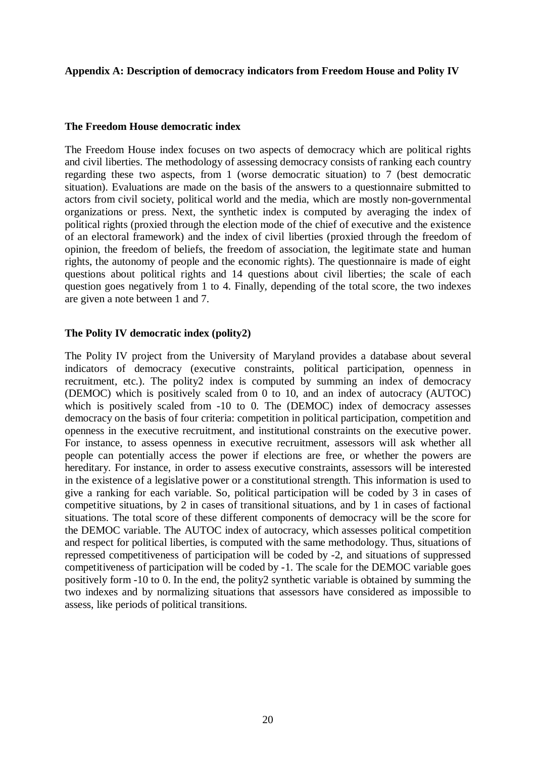## **Appendix A: Description of democracy indicators from Freedom House and Polity IV**

## **The Freedom House democratic index**

The Freedom House index focuses on two aspects of democracy which are political rights and civil liberties. The methodology of assessing democracy consists of ranking each country regarding these two aspects, from 1 (worse democratic situation) to 7 (best democratic situation). Evaluations are made on the basis of the answers to a questionnaire submitted to actors from civil society, political world and the media, which are mostly non-governmental organizations or press. Next, the synthetic index is computed by averaging the index of political rights (proxied through the election mode of the chief of executive and the existence of an electoral framework) and the index of civil liberties (proxied through the freedom of opinion, the freedom of beliefs, the freedom of association, the legitimate state and human rights, the autonomy of people and the economic rights). The questionnaire is made of eight questions about political rights and 14 questions about civil liberties; the scale of each question goes negatively from 1 to 4. Finally, depending of the total score, the two indexes are given a note between 1 and 7.

## **The Polity IV democratic index (polity2)**

The Polity IV project from the University of Maryland provides a database about several indicators of democracy (executive constraints, political participation, openness in recruitment, etc.). The polity2 index is computed by summing an index of democracy (DEMOC) which is positively scaled from 0 to 10, and an index of autocracy (AUTOC) which is positively scaled from -10 to 0. The (DEMOC) index of democracy assesses democracy on the basis of four criteria: competition in political participation, competition and openness in the executive recruitment, and institutional constraints on the executive power. For instance, to assess openness in executive recruitment, assessors will ask whether all people can potentially access the power if elections are free, or whether the powers are hereditary. For instance, in order to assess executive constraints, assessors will be interested in the existence of a legislative power or a constitutional strength. This information is used to give a ranking for each variable. So, political participation will be coded by 3 in cases of competitive situations, by 2 in cases of transitional situations, and by 1 in cases of factional situations. The total score of these different components of democracy will be the score for the DEMOC variable. The AUTOC index of autocracy, which assesses political competition and respect for political liberties, is computed with the same methodology. Thus, situations of repressed competitiveness of participation will be coded by -2, and situations of suppressed competitiveness of participation will be coded by -1. The scale for the DEMOC variable goes positively form -10 to 0. In the end, the polity2 synthetic variable is obtained by summing the two indexes and by normalizing situations that assessors have considered as impossible to assess, like periods of political transitions.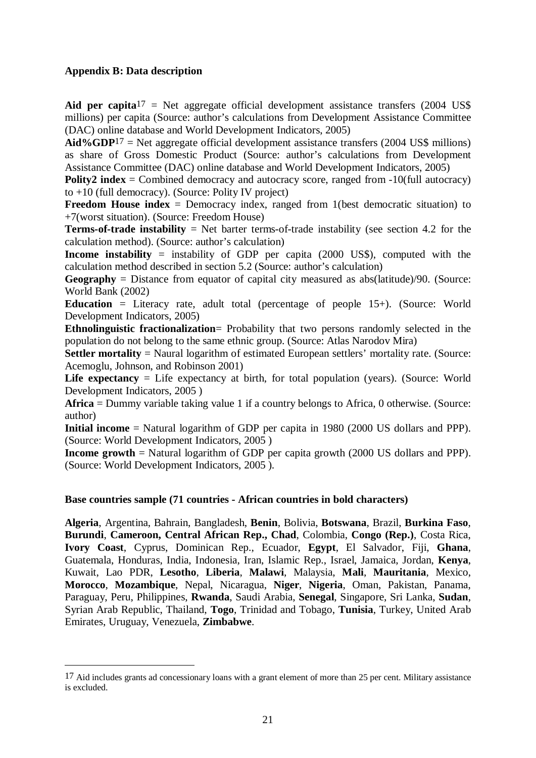## **Appendix B: Data description**

1

**Aid per capita**<sup>17</sup> = Net aggregate official development assistance transfers  $(2004 \text{ US}\$$ millions) per capita (Source: author's calculations from Development Assistance Committee (DAC) online database and World Development Indicators, 2005)

**Aid%GDP**17 = Net aggregate official development assistance transfers (2004 US\$ millions) as share of Gross Domestic Product (Source: author's calculations from Development Assistance Committee (DAC) online database and World Development Indicators, 2005)

**Polity2 index** = Combined democracy and autocracy score, ranged from -10(full autocracy) to +10 (full democracy). (Source: Polity IV project)

**Freedom House index** = Democracy index, ranged from 1(best democratic situation) to +7(worst situation). (Source: Freedom House)

**Terms-of-trade instability** = Net barter terms-of-trade instability (see section 4.2 for the calculation method). (Source: author's calculation)

**Income instability** = instability of GDP per capita (2000 US\$), computed with the calculation method described in section 5.2 (Source: author's calculation)

**Geography** = Distance from equator of capital city measured as abs(latitude)/90. (Source: World Bank (2002)

**Education** = Literacy rate, adult total (percentage of people 15+). (Source: World Development Indicators, 2005)

**Ethnolinguistic fractionalization**= Probability that two persons randomly selected in the population do not belong to the same ethnic group. (Source: Atlas Narodov Mira)

**Settler mortality** = Naural logarithm of estimated European settlers' mortality rate. (Source: Acemoglu, Johnson, and Robinson 2001)

Life expectancy = Life expectancy at birth, for total population (years). (Source: World Development Indicators, 2005 )

**Africa** = Dummy variable taking value 1 if a country belongs to Africa, 0 otherwise. (Source: author)

**Initial income** = Natural logarithm of GDP per capita in 1980 (2000 US dollars and PPP). (Source: World Development Indicators, 2005 )

**Income growth** = Natural logarithm of GDP per capita growth (2000 US dollars and PPP). (Source: World Development Indicators, 2005 ).

## **Base countries sample (71 countries - African countries in bold characters)**

**Algeria**, Argentina, Bahrain, Bangladesh, **Benin**, Bolivia, **Botswana**, Brazil, **Burkina Faso**, **Burundi**, **Cameroon, Central African Rep., Chad**, Colombia, **Congo (Rep.)**, Costa Rica, **Ivory Coast**, Cyprus, Dominican Rep., Ecuador, **Egypt**, El Salvador, Fiji, **Ghana**, Guatemala, Honduras, India, Indonesia, Iran, Islamic Rep., Israel, Jamaica, Jordan, **Kenya**, Kuwait, Lao PDR, **Lesotho**, **Liberia**, **Malawi**, Malaysia, **Mali**, **Mauritania**, Mexico, **Morocco**, **Mozambique**, Nepal, Nicaragua, **Niger**, **Nigeria**, Oman, Pakistan, Panama, Paraguay, Peru, Philippines, **Rwanda**, Saudi Arabia, **Senegal**, Singapore, Sri Lanka, **Sudan**, Syrian Arab Republic, Thailand, **Togo**, Trinidad and Tobago, **Tunisia**, Turkey, United Arab Emirates, Uruguay, Venezuela, **Zimbabwe**.

<sup>&</sup>lt;sup>17</sup> Aid includes grants ad concessionary loans with a grant element of more than 25 per cent. Military assistance is excluded.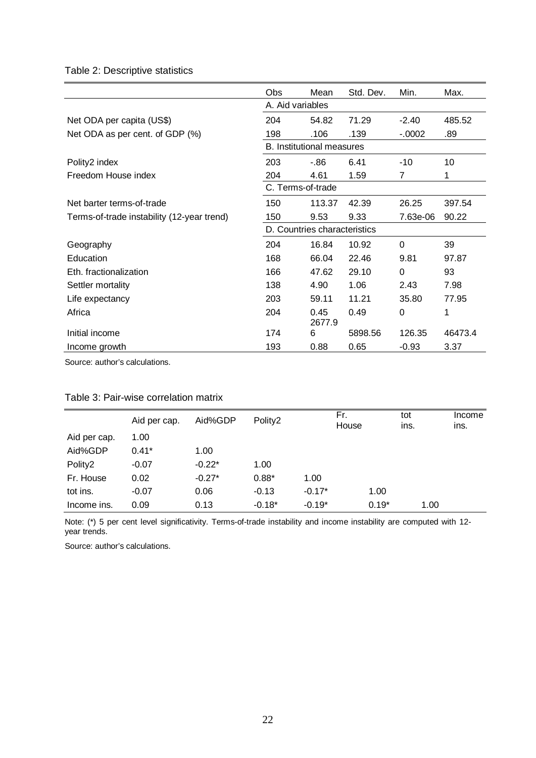# Table 2: Descriptive statistics

|                                            | <b>Obs</b>                       | Mean           | Std. Dev. | Min.     | Max.    |
|--------------------------------------------|----------------------------------|----------------|-----------|----------|---------|
|                                            | A. Aid variables                 |                |           |          |         |
| Net ODA per capita (US\$)                  | 204                              | 54.82          | 71.29     | $-2.40$  | 485.52  |
| Net ODA as per cent. of GDP (%)            | 198                              | .106           | .139      | $-.0002$ | .89     |
|                                            | <b>B.</b> Institutional measures |                |           |          |         |
| Polity2 index                              | 203                              | $-86$          | 6.41      | $-10$    | 10      |
| Freedom House index                        | 204                              | 4.61           | 1.59      | 7        | 1       |
|                                            | C. Terms-of-trade                |                |           |          |         |
| Net barter terms-of-trade                  | 150                              | 113.37         | 42.39     | 26.25    | 397.54  |
| Terms-of-trade instability (12-year trend) | 150                              | 9.53           | 9.33      | 7.63e-06 | 90.22   |
|                                            | D. Countries characteristics     |                |           |          |         |
| Geography                                  | 204                              | 16.84          | 10.92     | $\Omega$ | 39      |
| Education                                  | 168                              | 66.04          | 22.46     | 9.81     | 97.87   |
| Eth. fractionalization                     | 166                              | 47.62          | 29.10     | $\Omega$ | 93      |
| Settler mortality                          | 138                              | 4.90           | 1.06      | 2.43     | 7.98    |
| Life expectancy                            | 203                              | 59.11          | 11.21     | 35.80    | 77.95   |
| Africa                                     | 204                              | 0.45<br>2677.9 | 0.49      | 0        | 1       |
| Initial income                             | 174                              | 6              | 5898.56   | 126.35   | 46473.4 |
| Income growth                              | 193                              | 0.88           | 0.65      | $-0.93$  | 3.37    |

Source: author's calculations.

|              | Aid per cap. | Aid%GDP  | Polity2  |          | Fr.<br>House |         | tot<br>ins. | Income<br>ins. |
|--------------|--------------|----------|----------|----------|--------------|---------|-------------|----------------|
| Aid per cap. | 1.00         |          |          |          |              |         |             |                |
| Aid%GDP      | $0.41*$      | 1.00     |          |          |              |         |             |                |
| Polity2      | $-0.07$      | $-0.22*$ | 1.00     |          |              |         |             |                |
| Fr. House    | 0.02         | $-0.27*$ | $0.88*$  | 1.00     |              |         |             |                |
| tot ins.     | $-0.07$      | 0.06     | $-0.13$  | $-0.17*$ |              | 1.00    |             |                |
| Income ins.  | 0.09         | 0.13     | $-0.18*$ | $-0.19*$ |              | $0.19*$ | 1.00        |                |

#### Table 3: Pair-wise correlation matrix

Note: (\*) 5 per cent level significativity. Terms-of-trade instability and income instability are computed with 12 year trends.

Source: author's calculations.